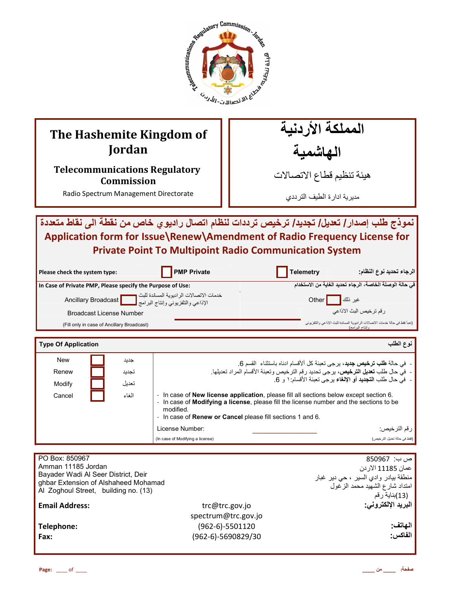

# **The Hashemite Kingdom of Jordan**

**Telecommunications Regulatory Commission** 

Radio Spectrum Management Directorate

المملكة الأردنية الهاشمية

هيئة تنظيم قطاع الاتصـالات

مديرية ادارة الطيف الترددي

 $\mathbf{A}$ نموذج طلب إصدار/ تعديل/ تجديد/ ترخيص ترددات لنظام اتصال راديوي خاص من نقطة الى نقاط متعددة **Application form for Issue\Renew\Amendment of Radio Frequency License for Private Point To Multipoint Radio Communication System**

| Please check the system type:                              | <b>PMP Private</b>                                                            | <b>Telemetry</b> | الرجاء تحديد نوع النظام:                                                                           |
|------------------------------------------------------------|-------------------------------------------------------------------------------|------------------|----------------------------------------------------------------------------------------------------|
| In Case of Private PMP, Please specify the Purpose of Use: |                                                                               |                  | في حالة الوصلة الخاصة، الرجاء تحديد الغاية من الاستخدام                                            |
|                                                            | خدمات الاتصالات الراديوية المساندة للبث<br>الإذاعي والتلفزيوني وإنتاج البرامج | عير ذلك    Other |                                                                                                    |
| <b>Broadcast License Number</b>                            |                                                                               |                  | ر قم تر خيص البث الاذاعي                                                                           |
| (Fill only in case of Ancillary Broadcast)                 |                                                                               |                  | (تعبأ فقط في حالة خدمات الاتصالات الر اديوية المساندة للبث الإذاعي والتلفزيوني<br>وانتاج الدر امج) |

| <b>Type Of Application</b> |       | نوع الطلب                                                                                                                                                                                                                                                                         |
|----------------------------|-------|-----------------------------------------------------------------------------------------------------------------------------------------------------------------------------------------------------------------------------------------------------------------------------------|
| <b>New</b>                 | جديد  | - في حالة <b>طلب ترخيص جديد</b> ، يرجى تعبئة كل ألأقسام ادناه باستثناء  القسم 6.                                                                                                                                                                                                  |
| Renew                      | تجديد | -  فيّ حال طلب تعديل الترخيص، يرجى تحديد رقم الترخيص وتعبئة الأقسام المراد تعديلها.                                                                                                                                                                                               |
| Modify                     | تعديل | -  في حال طلب ا <b>لتجديد</b> أو الإ <b>لغ</b> اء برجي تعبئة الأقسام: ١ و 6.                                                                                                                                                                                                      |
| Cancel                     | الغاء | - In case of <b>New license application</b> , please fill all sections below except section 6.<br>In case of <b>Modifying a license</b> , please fill the license number and the sections to be<br>modified.<br>- In case of <b>Renew or Cancel</b> please fill sections 1 and 6. |
|                            |       | ر قم التر خيص:<br>License Number:                                                                                                                                                                                                                                                 |
|                            |       | (فقط في حالة تعديل التر خيص)<br>(In case of Modifying a license)                                                                                                                                                                                                                  |

| PO Box: 850967<br>Amman 11185 Jordan<br>Bayader Wadi Al Seer District, Deir<br>ghbar Extension of Alshaheed Mohamad<br>Al Zoghoul Street, building no. (13) |                     | ص ب:  850967<br>عمان 11185 الاردن<br><sub>ا</sub> منطقة بيادر وادي السير ، حي دير غبار<br>امتداد شارع الشهيد محمد الزغول<br>(13)بذاية رقم |
|-------------------------------------------------------------------------------------------------------------------------------------------------------------|---------------------|-------------------------------------------------------------------------------------------------------------------------------------------|
| <b>Email Address:</b>                                                                                                                                       | trc@trc.gov.jo      | البريد الإلكتروني.                                                                                                                        |
|                                                                                                                                                             | spectrum@trc.gov.jo |                                                                                                                                           |
| Telephone:                                                                                                                                                  | $(962-6)-5501120$   | الهاتف                                                                                                                                    |
| Fax:                                                                                                                                                        | (962-6)-5690829/30  | الفاكس:                                                                                                                                   |
|                                                                                                                                                             |                     |                                                                                                                                           |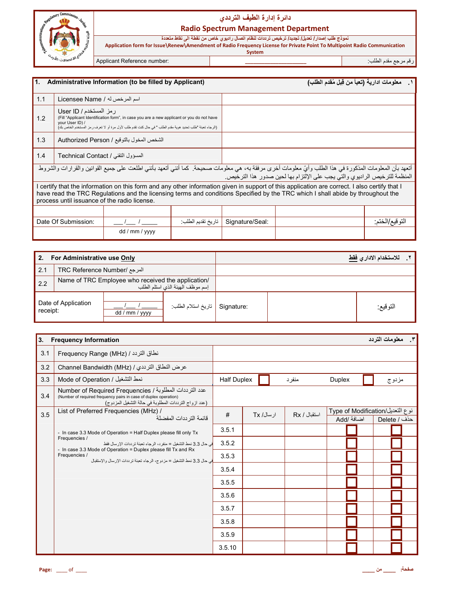

L

# **دا\_رة إدارة ا%طف ا%رددي**

#### **Radio Spectrum Management Department**

نموذج طلب إصدار / تعديل/ تجديد/ ترخيص ترددات لنظام اتصال راديوي خاص من نقطة الى نقاط متعددة

**Application form for Issue\Renew\Amendment of Radio Frequency License for Private Point To Multipoint Radio Communication System** ر;م رrF Bدم اط%ب: **\_\_\_\_\_\_\_\_\_\_\_\_\_\_\_\_\_\_\_\_\_\_** :number Reference Applicant

| $\overline{1}$ .                          | Administrative Information (to be filled by Applicant)                                                                                                                                                                                                                                                                           |                                                                                                                                                                                                        |                    |                 | ١ __ معلومات ادارية (تعبأ من قِبل مُقدم الطلب) |                |
|-------------------------------------------|----------------------------------------------------------------------------------------------------------------------------------------------------------------------------------------------------------------------------------------------------------------------------------------------------------------------------------|--------------------------------------------------------------------------------------------------------------------------------------------------------------------------------------------------------|--------------------|-----------------|------------------------------------------------|----------------|
| 1.1                                       | اسم المرخص له / Licensee Name                                                                                                                                                                                                                                                                                                    |                                                                                                                                                                                                        |                    |                 |                                                |                |
| 1.2                                       | رمز المستخدم / User ID<br>your User ID) /                                                                                                                                                                                                                                                                                        | (Fill "Applicant Identification form", in case you are a new applicant or you do not have<br>(الرجاء تعبئة "طلب تحديد هوية مقدم الطلب " في حال كنت تقدم طلب لأول مرة أو لا تعرف رمز المستخدم الخاص بك) |                    |                 |                                                |                |
| 1.3                                       |                                                                                                                                                                                                                                                                                                                                  | الشخص المخول بالتوقيع / Authorized Person                                                                                                                                                              |                    |                 |                                                |                |
| 1.4<br>المسؤول التقنى / Technical Contact |                                                                                                                                                                                                                                                                                                                                  |                                                                                                                                                                                                        |                    |                 |                                                |                |
|                                           | أتعهد بأن المعلومات المذكورة في هذا الطلب وأيّ معلومات أخرى مرفقة به، هي معلومات صحيحة. كما أنني أتعهد بأنني اطلعت على جميع القوانين والقرارات والشروط<br>المنظمة للترخيص الراديوي والتي يجب على الإلتزام بها لحين صدور هذا الترخيص.                                                                                             |                                                                                                                                                                                                        |                    |                 |                                                |                |
|                                           | I certify that the information on this form and any other information given in support of this application are correct. I also certify that I<br>have read the TRC Regulations and the licensing terms and conditions Specified by the TRC which I shall abide by throughout the<br>process until issuance of the radio license. |                                                                                                                                                                                                        |                    |                 |                                                |                |
|                                           |                                                                                                                                                                                                                                                                                                                                  |                                                                                                                                                                                                        |                    |                 |                                                |                |
|                                           | Date Of Submission:                                                                                                                                                                                                                                                                                                              |                                                                                                                                                                                                        | تاريخ تقديم الطلب: | Signature/Seal: |                                                | التوقيع/الختم: |
|                                           |                                                                                                                                                                                                                                                                                                                                  | dd / mm / yyyy                                                                                                                                                                                         |                    |                 |                                                |                |

| 2.                                          | For Administrative use Only                                                            |                |                     |            | للاستخدام الاداري <u>فقط</u> |
|---------------------------------------------|----------------------------------------------------------------------------------------|----------------|---------------------|------------|------------------------------|
| $\vert$ 2.1<br>المرجع /TRC Reference Number |                                                                                        |                |                     |            |                              |
| 2.2                                         | Name of TRC Employee who received the application/<br>إسم موظف الهيئة الذي استلم الطلب |                |                     |            |                              |
| receipt:                                    | Date of Application                                                                    | dd / mm / yyyy | تاريخ استلام الطلب: | Signature: | التوقيع:                     |

| 3.  | <b>Frequency Information</b>                                                                                                                                                        |                    |            |              |                                                | ٣. معلومات التردد |
|-----|-------------------------------------------------------------------------------------------------------------------------------------------------------------------------------------|--------------------|------------|--------------|------------------------------------------------|-------------------|
| 3.1 | نطاق التردد / (Frequency Range (MHz                                                                                                                                                 |                    |            |              |                                                |                   |
| 3.2 | عرض النطاق الترددي / Channel Bandwidth (MHz)                                                                                                                                        |                    |            |              |                                                |                   |
| 3.3 | نمط التشغيل / Mode of Operation                                                                                                                                                     | <b>Half Duplex</b> |            | منفر د       | <b>Duplex</b>                                  | مزدوج             |
| 3.4 | عدد الترددات المطلوبة / Number of Required Frequencies<br>(Number of required frequency pairs in case of duplex operation)<br>(عدد ازواج الترددات المطلوبة في حالة التشغيل المزدوج) |                    |            |              |                                                |                   |
| 3.5 | List of Preferred Frequencies (MHz) /<br>قائمة التر ددات المفضلة                                                                                                                    | #                  | ار سال/ Tx | استقبال / Rx | نوع التعديل/Type of Modification<br>اضافة /Add | حذف / Delete      |
|     | - In case 3.3 Mode of Operation = Half Duplex please fill only Tx                                                                                                                   | 3.5.1              |            |              |                                                |                   |
|     | Frequencies /<br>في حال 3.3 نمط التشغيل = منفر د، الرجاء تعبئة ترددات الإرسال فقط                                                                                                   | 3.5.2              |            |              |                                                |                   |
|     | - In case 3.3 Mode of Operation = Duplex please fill Tx and Rx<br>Frequencies /<br>في حال 3.3 نمط التشغيل = مزدوج، الرجاء تعبئة ترددات الإرسال والإستقبال                           | 3.5.3              |            |              |                                                |                   |
|     |                                                                                                                                                                                     | 3.5.4              |            |              |                                                |                   |
|     |                                                                                                                                                                                     | 3.5.5              |            |              |                                                |                   |
|     |                                                                                                                                                                                     | 3.5.6              |            |              |                                                |                   |
|     |                                                                                                                                                                                     | 3.5.7              |            |              |                                                |                   |
|     |                                                                                                                                                                                     | 3.5.8              |            |              |                                                |                   |
|     |                                                                                                                                                                                     | 3.5.9              |            |              |                                                |                   |
|     |                                                                                                                                                                                     | 3.5.10             |            |              |                                                |                   |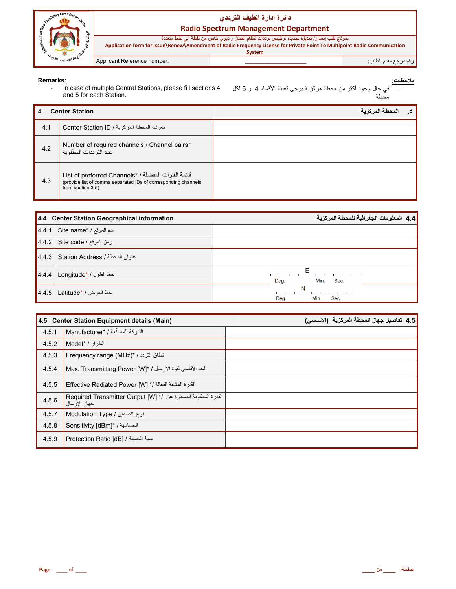

# دائرة إدارة الطيف الترددي

## **Radio Spectrum Management Department**

نموذج طلب إصدار/ تعديل/ تجديد/ ترخيص ترددات لنظام اتصال راديوي خاص من نقطة الى نقاط متعددة<br>Application form for Issue\Renew\Amendment of Radio Frequency License for Private Point To Multipoint Radio Communication System

Applicant Reference number:

# رقم مرجع مقدم الطلب<sup>.</sup>

Remarks:<br>- In case of multiple Central Stations, please fill sections 4 and 5 for each Station.

| <b>Center Station</b><br>4. |                                                                                                                                            | حطة المركزية |  |
|-----------------------------|--------------------------------------------------------------------------------------------------------------------------------------------|--------------|--|
| 4.1                         | معرف المحطة المركزية / Center Station ID                                                                                                   |              |  |
| 4.2                         | Number of required channels / Channel pairs*<br>عدد التر ددات المطلوبة                                                                     |              |  |
| 4.3                         | قائمة القنوات المفضلة / *List of preferred Channels<br>(provide list of comma separated IDs of corresponding channels<br>from section 3.5) |              |  |

|                     | 4.4 Center Station Geographical information | <b>  4.4</b> المعلومات الجغرافية للمحطة المركزية |
|---------------------|---------------------------------------------|--------------------------------------------------|
| 14.4.1              | اسم الموقع / *Site name                     |                                                  |
| $\vert 4.4.2 \vert$ | رمز الموقع / Site code                      |                                                  |
| 4.4.3               | عنوان المحطة / Station Address              |                                                  |
| 4.4.4               | خط الطول / Longitude* /                     | Deg.<br>Min.<br>Sec.                             |
| 4.4.5               | خط العرض / <u>*Latitude</u>                 | N<br>Min.<br>Sec.<br>Deg.                        |

|       | 4.5 Center Station Equipment details (Main)                                       | 4.5 تفاصيل جهاز المحطة المركزية (الأساسي) |
|-------|-----------------------------------------------------------------------------------|-------------------------------------------|
| 4.5.1 | الشركة المصنِّعة / Manufacturer* /                                                |                                           |
| 4.5.2 | الطراز / Model* /                                                                 |                                           |
| 4.5.3 | نطاق التريد / *Frequency range (MHz)                                              |                                           |
| 4.5.4 | الحد الأقصى لقوة الارسال / *[Max. Transmitting Power [W]                          |                                           |
| 4.5.5 | القدرة المشعة الفعالة /* [W] Effective Radiated Power                             |                                           |
| 4.5.6 | القدرة المطلوبة الصادرة عن /* [W] Required Transmitter Output [W]<br>جهاز الإرسال |                                           |
| 4.5.7 | نوع التضمين / Modulation Type                                                     |                                           |
| 4.5.8 | الحساسية / *Sensitivity [dBm]                                                     |                                           |
| 4.5.9 | نسبة الحماية / Protection Ratio [dB]                                              |                                           |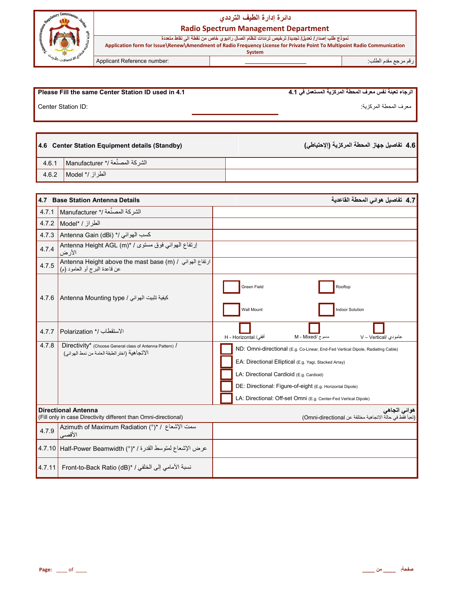

# **دا\_رة إدارة ا%طف ا%رددي**

**Radio Spectrum Management Department**

 **System**

نموذج طلب إصدار / تعديل/ تجديد/ ترخيص ترددات لنظام اتصال راديوي خاص من نقطة الى نقاط متعددة **Application form for Issue\Renew\Amendment of Radio Frequency License for Private Point To Multipoint Radio Communication** 

ر;م رrF Bدم اط%ب: **\_\_\_\_\_\_\_\_\_\_\_\_\_\_\_\_\_\_\_\_\_\_** :number Reference Applicant

| Please Fill the same Center Station ID used in 4.1 | ا الرجاء تعبئة نفس معرف المحطة المركزية المستعمل في 4.1 |
|----------------------------------------------------|---------------------------------------------------------|
| Center Station ID:                                 | معر ف المحطة المر كزية:                                 |

|       | 4.6 Center Station Equipment details (Standby) |  |
|-------|------------------------------------------------|--|
| 4.6.1 | △ الشركة المصنِّعة /* Manufacturer │           |  |
|       | ∣ الطراز /* Model 1.6.2 ∣                      |  |

| 4.7    | <b>Base Station Antenna Details</b>                                                                        | 4.7 تفاصيل هوائي المحطة القاعدية                                                                                                                                                                                                                                                                                     |
|--------|------------------------------------------------------------------------------------------------------------|----------------------------------------------------------------------------------------------------------------------------------------------------------------------------------------------------------------------------------------------------------------------------------------------------------------------|
| 4.7.1  | الشركة المصنِّعة /* Manufacturer                                                                           |                                                                                                                                                                                                                                                                                                                      |
| 4.7.2  | الطراز / Model*                                                                                            |                                                                                                                                                                                                                                                                                                                      |
| 4.7.3  | Antenna Gain (dBi) */ الموائي /*                                                                           |                                                                                                                                                                                                                                                                                                                      |
| 4.7.4  | إرتفاع الهوائي فوق مستوى / *Antenna Height AGL (m)<br>الأرض                                                |                                                                                                                                                                                                                                                                                                                      |
| 4.7.5  | ارتفاع الهوائي / Antenna Height above the mast base (m)<br>عن قاعدة البرج أو العامود (م)                   |                                                                                                                                                                                                                                                                                                                      |
| 4.7.6  | كيفية تثبيت الهوائي / Antenna Mounting type                                                                | Green Field<br>Rooftop<br>Wall Mount<br><b>Indoor Solution</b>                                                                                                                                                                                                                                                       |
| 4.7.7  | الاستقطاب /* Polarization                                                                                  | $M - Mixed / \frac{1}{2}$ مدموج<br>أفقى/ H - Horizontal<br>عامودي /V - Vertical                                                                                                                                                                                                                                      |
| 4.7.8  | Directivity* (Choose General class of Antenna Pattern) /<br>الاتجاهية (اختر الطبقة العامة من نمط الهو ائي) | ND: Omni-directional (E.g. Co-Linear, End-Fed Vertical Dipole, Radiating Cable)<br>EA: Directional Elliptical (E.g. Yagi, Stacked Array)<br>LA: Directional Cardioid (E.g. Cardioid)<br>DE: Directional: Figure-of-eight (E.g. Horizontal Dipole)<br>LA: Directional: Off-set Omni (E.g. Center-Fed Vertical Dipole) |
|        | <b>Directional Antenna</b><br>(Fill only in case Directivity different than Omni-directional)              | هوائي اتجاهي<br>(تعبأ فقط في حالة الاتجاهية مختلفة عن Omni-directional)                                                                                                                                                                                                                                              |
| 4.7.9  | سمت الإشعاع / *(°) Azimuth of Maximum Radiation<br>الأقصى                                                  |                                                                                                                                                                                                                                                                                                                      |
|        | عرض الإشعاع لمتوسط القدرة / *(°) Half-Power Beamwidth   1.7.10                                             |                                                                                                                                                                                                                                                                                                                      |
| 4.7.11 | نسبة الأمامي إلى الخلفي / *Front-to-Back Ratio (dB)                                                        |                                                                                                                                                                                                                                                                                                                      |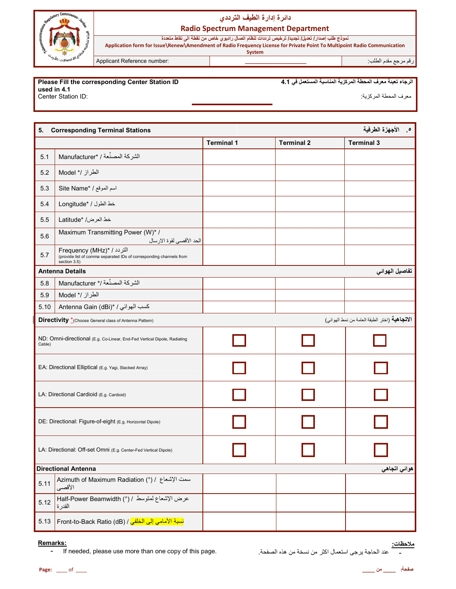

# **دا\_رة إدارة ا%طف ا%رددي**

**Radio Spectrum Management Department**

نموذج طلب إصدار / تعديل/ تجديد/ ترخيص ترددات لنظام اتصال راديوي خاص من نقطة الى نقاط متعددة

**Application form for Issue\Renew\Amendment of Radio Frequency License for Private Point To Multipoint Radio Communication System**

ر;م رrF Bدم اط%ب: **\_\_\_\_\_\_\_\_\_\_\_\_\_\_\_\_\_\_\_\_\_\_** :number Reference Applicant

#### **Please Fill the corresponding Center Station ID used in 4.1**

Center Station ID:

الرجاء تعبئة معرف المحطة المركزية المناسبة المستع*مل في* 4.1

معرف المحطة المركزية:

| 5.                                                                                 | <b>0 . الأجهزة الطرفية</b><br><b>Corresponding Terminal Stations</b>                                                    |                   |                   |                                               |  |
|------------------------------------------------------------------------------------|-------------------------------------------------------------------------------------------------------------------------|-------------------|-------------------|-----------------------------------------------|--|
|                                                                                    |                                                                                                                         | <b>Terminal 1</b> | <b>Terminal 2</b> | <b>Terminal 3</b>                             |  |
| 5.1                                                                                | الشركة المصنِّعة / *Manufacturer                                                                                        |                   |                   |                                               |  |
| 5.2                                                                                | الطراز /* Model                                                                                                         |                   |                   |                                               |  |
| 5.3                                                                                | Site Name* / اسم الموقع /                                                                                               |                   |                   |                                               |  |
| 5.4                                                                                | خط الطول / *Longitude                                                                                                   |                   |                   |                                               |  |
| 5.5                                                                                | خط العرض/ *Latitude                                                                                                     |                   |                   |                                               |  |
| 5.6                                                                                | Maximum Transmitting Power (W)* /<br>الحد الأقصىي لقوة الارسال                                                          |                   |                   |                                               |  |
| 5.7                                                                                | <b>Frequency</b> (MHz)* / التردد<br>(provide list of comma separated IDs of corresponding channels from<br>section 3.5) |                   |                   |                                               |  |
|                                                                                    | <b>Antenna Details</b>                                                                                                  |                   |                   | تفاصيل الهوائي                                |  |
| 5.8                                                                                | الشركة المصنِّعة /* Manufacturer                                                                                        |                   |                   |                                               |  |
| 5.9                                                                                | الطراز /* Model                                                                                                         |                   |                   |                                               |  |
| 5.10                                                                               | Antenna Gain (dBi)* / شسب المهوائي                                                                                      |                   |                   |                                               |  |
|                                                                                    | Directivity *(Choose General class of Antenna Pattern)                                                                  |                   |                   | الاتجاهية (اختر الطبقة العامة من نمط الهوائي) |  |
| ND: Omni-directional (E.g. Co-Linear, End-Fed Vertical Dipole, Radiating<br>Cable) |                                                                                                                         |                   |                   |                                               |  |
| EA: Directional Elliptical (E.g. Yagi, Stacked Array)                              |                                                                                                                         |                   |                   |                                               |  |
| LA: Directional Cardioid (E.g. Cardioid)                                           |                                                                                                                         |                   |                   |                                               |  |
| DE: Directional: Figure-of-eight (E.g. Horizontal Dipole)                          |                                                                                                                         |                   |                   |                                               |  |
| LA: Directional: Off-set Omni (E.g. Center-Fed Vertical Dipole)                    |                                                                                                                         |                   |                   |                                               |  |
|                                                                                    | <b>Directional Antenna</b><br>هوائی اتجاهی                                                                              |                   |                   |                                               |  |
| 5.11                                                                               | Azimuth of Maximum Radiation (°) / سمت الإشعاع / (°)<br>الأقصىي                                                         |                   |                   |                                               |  |
| 5.12                                                                               | عرض الإشعاع لمتوسط / (°) Half-Power Beamwidth<br>القدرة                                                                 |                   |                   |                                               |  |
| 5.13                                                                               | <mark>نسبة الأمامي إلى الخلفي</mark> / Front-to-Back Ratio (dB)                                                         |                   |                   |                                               |  |

#### **Remarks:**

- If needed, please use more than one copy of this page.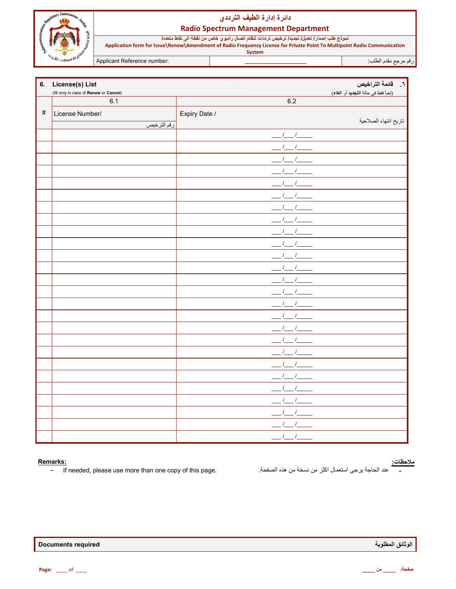

## دائرة إدارة الطيف الترددي

#### **Radio Spectrum Management Department**

نموذج طلب إصدار/ تعديل/ تجديد/ ترخيص ترددات لنظام اتصال راديوي خاص من نقطة الى نقاط متعددة<br>Application form for Issue\Renew\Amendment of Radio Frequency License for Private Point To Multipoint Radio Communication System

Applicant Reference number:

رقم مرجع مقدم الطلب<sup>.</sup>

| 6.   | ٦.     قائمة التراخيص<br>License(s) List |               |                                     |  |  |
|------|------------------------------------------|---------------|-------------------------------------|--|--|
|      | (fill only in case of Renew or Cancel)   |               | (تعبأ فقط في حالة التجديد أو الغاء) |  |  |
|      | 6.1                                      | 6.2           |                                     |  |  |
| $\#$ | License Number/                          | Expiry Date / |                                     |  |  |
|      | رقم الترخيص                              |               | تاريخ انتهاء الصلاحية               |  |  |
|      |                                          |               |                                     |  |  |
|      |                                          |               |                                     |  |  |
|      |                                          |               |                                     |  |  |
|      |                                          |               |                                     |  |  |
|      |                                          |               |                                     |  |  |
|      |                                          |               |                                     |  |  |
|      |                                          |               |                                     |  |  |
|      |                                          |               |                                     |  |  |
|      |                                          |               |                                     |  |  |
|      |                                          |               |                                     |  |  |
|      |                                          |               |                                     |  |  |
|      |                                          |               |                                     |  |  |
|      |                                          |               |                                     |  |  |
|      |                                          |               |                                     |  |  |
|      |                                          |               |                                     |  |  |
|      |                                          |               |                                     |  |  |
|      |                                          |               |                                     |  |  |
|      |                                          |               |                                     |  |  |
|      |                                          |               |                                     |  |  |
|      |                                          |               |                                     |  |  |
|      |                                          |               |                                     |  |  |
|      |                                          |               |                                     |  |  |
|      |                                          |               |                                     |  |  |
|      |                                          |               |                                     |  |  |
|      |                                          | $\frac{1}{2}$ |                                     |  |  |
|      |                                          | $1 - 1$       |                                     |  |  |

### Remarks:

 $\mathbf{r}$ If needed, please use more than one copy of this page.

# <u>ملاحظات:</u><br>-

عند الحاجة يرجى استعمال اكثر من نسخة من هذه الصفحة.

| <b>Documents required</b> |  |
|---------------------------|--|
|---------------------------|--|

الوثانق المطلوبة